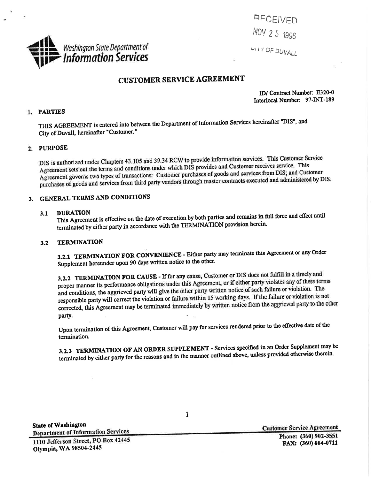

RFCEIVED NOV 2 5 1996 UITY OF DUVALL

# **CUSTOMER SERVICE AGREEMENT**

ID/ Contract Number: E320-0 Interlocal Number: 97-INT-189

### 1. PARTIES

THIS AGREEMENT is entered into between the Department of Information Services hereinafter "DIS", and City of Duvall, hereinafter "Customer."

### 2. PURPOSE

DIS is authorized under Chapters 43.105 and 39.34 RCW to provide information services. This Customer Service Agreement sets out the terms and conditions under which DIS provides and Customer receives service. This Agreement governs two types of transactions: Customer purchases of goods and services from DIS; and Customer purchases of goods and services from third party vendors through master contracts executed and administered by DIS.

## 3. GENERAL TERMS AND CONDITIONS

#### **DURATION**  $3.1$

This Agreement is effective on the date of execution by both parties and remains in full force and effect until terminated by either party in accordance with the TERMINATION provision herein.

#### **TERMINATION**  $3.2$

3.2.1 TERMINATION FOR CONVENIENCE - Either party may terminate this Agreement or any Order Supplement hereunder upon 90 days written notice to the other.

3.2.2 TERMINATION FOR CAUSE - If for any cause, Customer or DIS does not fulfill in a timely and proper manner its performance obligations under this Agreement, or if either party violates any of these terms and conditions, the aggrieved party will give the other party written notice of such failure or violation. The responsible party will correct the violation or failure within 15 working days. If the failure or violation is not corrected, this Agreement may be terminated immediately by written notice from the aggrieved party to the other party.

Upon termination of this Agreement, Customer will pay for services rendered prior to the effective date of the termination.

3.2.3 TERMINATION OF AN ORDER SUPPLEMENT - Services specified in an Order Supplement may be terminated by either party for the reasons and in the manner outlined above, unless provided otherwise therein.

**Customer Service Agreement** Phone: (360) 902-3551 FAX: (360) 664-0711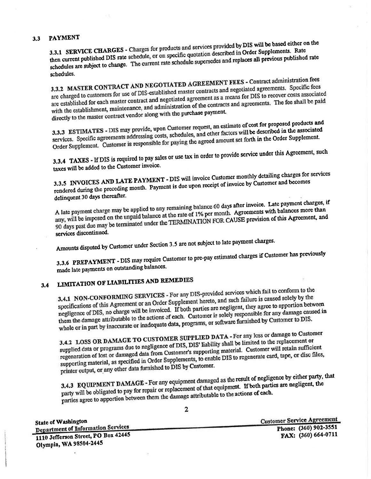#### **PAYMENT**  $3.3$

3.3.1 SERVICE CHARGES - Charges for products and services provided by DIS will be based either on the then current published DIS rate schedule, or on specific quotation described in Order Supplements. Rate schedules are subject to change. The current rate schedule supersedes and replaces all previous published rate schedules.

3.3.2 MASTER CONTRACT AND NEGOTIATED AGREEMENT FEES - Contract administration fees are charged to customers for use of DIS-established master contracts and negotiated agreements. Specific fees are established for each master contract and negotiated agreement as a means for DIS to recover costs associated with the establishment, maintenance, and administration of the contracts and agreements. The fee shall be paid directly to the master contract vendor along with the purchase payment.

3.3.3 ESTIMATES - DIS may provide, upon Customer request, an estimate of cost for proposed products and services. Specific agreements addressing costs, schedules, and other factors will be described in the associated Order Supplement. Customer is responsible for paying the agreed amount set forth in the Order Supplement.

3.3.4 TAXES - If DIS is required to pay sales or use tax in order to provide service under this Agreement, such taxes will be added to the Customer invoice.

3.3.5 INVOICES AND LATE PAYMENT - DIS will invoice Customer monthly detailing charges for services rendered during the preceding month. Payment is due upon receipt of invoice by Customer and becomes delinquent 30 days thereafter.

A late payment charge may be applied to any remaining balance 60 days after invoice. Late payment charges, if any, will be imposed on the unpaid balance at the rate of 1% per month. Agreements with balances more than 90 days past due may be terminated under the TERMINATION FOR CAUSE provision of this Agreement, and services discontinued.

Amounts disputed by Customer under Section 3.5 are not subject to late payment charges.

3.3.6 PREPAYMENT - DIS may require Customer to pre-pay estimated charges if Customer has previously made late payments on outstanding balances.

### LIMITATION OF LIABILITIES AND REMEDIES  $3.4$

3.4.1 NON-CONFORMING SERVICES - For any DIS-provided services which fail to conform to the specifications of this Agreement or an Order Supplement hereto, and such failure is caused solely by the negligence of DIS, no charge will be invoiced. If both parties are negligent, they agree to apportion between them the damage attributable to the actions of each. Customer is solely responsible for any damage caused in whole or in part by inaccurate or inadequate data, programs, or software furnished by Customer to DIS.

3.4.2 LOSS OR DAMAGE TO CUSTOMER SUPPLIED DATA - For any loss or damage to Customer supplied data or programs due to negligence of DIS, DIS' liability shall be limited to the replacement or regeneration of lost or damaged data from Customer's supporting material. Customer will retain sufficient supporting material, as specified in Order Supplements, to enable DIS to regenerate card, tape, or disc files, printer output, or any other data furnished to DIS by Customer.

3.4.3 EQUIPMENT DAMAGE - For any equipment damaged as the result of negligence by either party, that party will be obligated to pay for repair or replacement of that equipment. If both parties are negligent, the parties agree to apportion between them the damage attributable to the actions of each.

**State of Washington Department of Information Services** 

1110 Jefferson Street, PO Box 42445 Olympia, WA 98504-2445

**Customer Service Agreement** 

Phone: (360) 902-3551 FAX: (360) 664-0711

 $\overline{2}$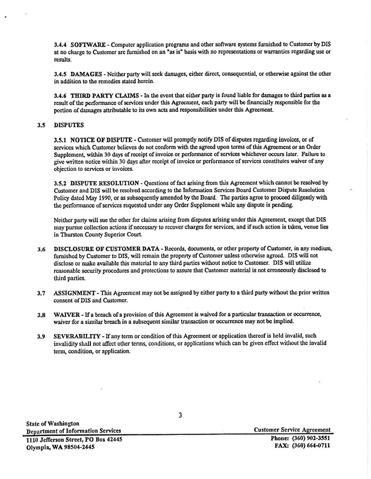3.4.4 SOFTWARE - Computer application programs and other software systems furnished to Customer by DIS at no charge to Customer are furnished on an "as is" basis with no representations or warranties regarding use or results.

3.4.5 DAMAGES - Neither party will seek damages, either direct, consequential, or otherwise against the other in addition to the remedies stated herein.

3.4.6 THIRD PARTY CLAIMS - In the event that either party is found liable for damages to third parties as a result of the performance of services under this Agreement, each party will be financially responsible for the portion of damages attributable to its own acts and responsibilities under this Agreement.

#### **DISPUTES**  $3.5$

3.5.1 NOTICE OF DISPUTE - Customer will promptly notify DIS of disputes regarding invoices, or of services which Customer believes do not conform with the agreed upon terms of this Agreement or an Order Supplement, within 30 days of receipt of invoice or performance of services whichever occurs later. Failure to give written notice within 30 days after receipt of invoice or performance of services constitutes waiver of any objection to services or invoices.

3.5.2 DISPUTE RESOLUTION - Questions of fact arising from this Agreement which cannot be resolved by Customer and DIS will be resolved according to the Information Services Board Customer Dispute Resolution Policy dated May 1990, or as subsequently amended by the Board. The parties agree to proceed diligently with the performance of services requested under any Order Supplement while any dispute is pending.

Neither party will sue the other for claims arising from disputes arising under this Agreement, except that DIS may pursue collection actions if necessary to recover charges for services, and if such action is taken, venue lies in Thurston County Superior Court.

- DISCLOSURE OF CUSTOMER DATA Records, documents, or other property of Customer, in any medium,  $3.6$ furnished by Customer to DIS, will remain the property of Customer unless otherwise agreed. DIS will not disclose or make available this material to any third parties without notice to Customer. DIS will utilize reasonable security procedures and protections to assure that Customer material is not erroneously disclosed to third parties.
- ASSIGNMENT This Agreement may not be assigned by either party to a third party without the prior written  $3.7$ consent of DIS and Customer.
- WAIVER If a breach of a provision of this Agreement is waived for a particular transaction or occurrence,  $3.8$ waiver for a similar breach in a subsequent similar transaction or occurrence may not be implied.
- SEVERABILITY If any term or condition of this Agreement or application thereof is held invalid, such  $3.9$ invalidity shall not affect other terms, conditions, or applications which can be given effect without the invalid term, condition, or application.